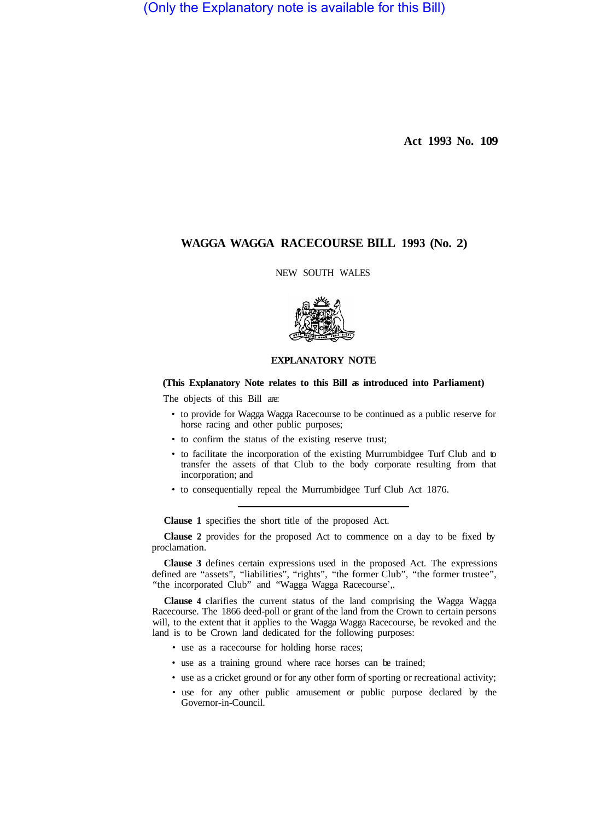(Only the Explanatory note is available for this Bill)

**Act 1993 No. 109** 

## **WAGGA WAGGA RACECOURSE BILL 1993 (No. 2)**

NEW SOUTH WALES



## **EXPLANATORY NOTE**

## **(This Explanatory Note relates to this Bill as introduced into Parliament)**

The objects of this Bill are:

- to provide for Wagga Wagga Racecourse to be continued as a public reserve for horse racing and other public purposes;
- to confirm the status of the existing reserve trust;
- to facilitate the incorporation of the existing Murrumbidgee Turf Club and to transfer the assets of that Club to the body corporate resulting from that incorporation; and
- to consequentially repeal the Murrumbidgee Turf Club Act 1876.

**Clause 1** specifies the short title of the proposed Act.

**Clause 2** provides for the proposed Act to commence on a day to be fixed by proclamation.

**Clause 3** defines certain expressions used in the proposed Act. The expressions defined are "assets", "liabilities", "rights", "the former Club", "the former trustee", "the incorporated Club" and "Wagga Wagga Racecourse',.

**Clause 4** clarifies the current status of the land comprising the Wagga Wagga Racecourse. The 1866 deed-poll or grant of the land from the Crown to certain persons will, to the extent that it applies to the Wagga Wagga Racecourse, be revoked and the land is to be Crown land dedicated for the following purposes:

- use as a racecourse for holding horse races;
- use as a training ground where race horses can be trained;
- use as a cricket ground or for any other form of sporting or recreational activity;
- use for any other public amusement or public purpose declared by the Governor-in-Council.